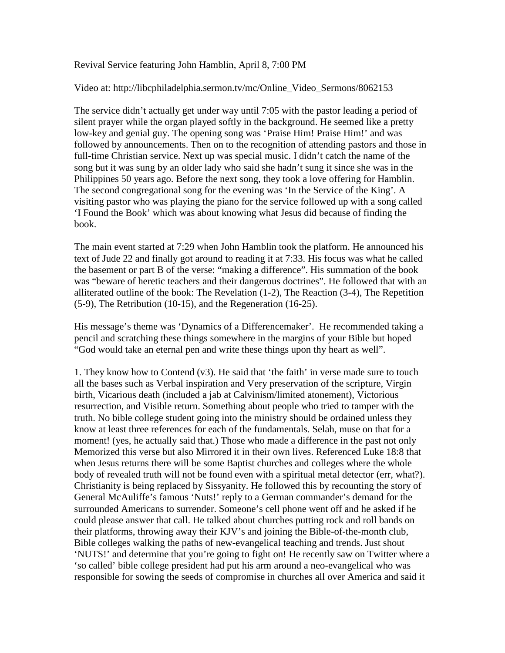Revival Service featuring John Hamblin, April 8, 7:00 PM

## Video at: http://libcphiladelphia.sermon.tv/mc/Online\_Video\_Sermons/8062153

The service didn't actually get under way until 7:05 with the pastor leading a period of silent prayer while the organ played softly in the background. He seemed like a pretty low-key and genial guy. The opening song was 'Praise Him! Praise Him!' and was followed by announcements. Then on to the recognition of attending pastors and those in full-time Christian service. Next up was special music. I didn't catch the name of the song but it was sung by an older lady who said she hadn't sung it since she was in the Philippines 50 years ago. Before the next song, they took a love offering for Hamblin. The second congregational song for the evening was 'In the Service of the King'. A visiting pastor who was playing the piano for the service followed up with a song called 'I Found the Book' which was about knowing what Jesus did because of finding the book.

The main event started at 7:29 when John Hamblin took the platform. He announced his text of Jude 22 and finally got around to reading it at 7:33. His focus was what he called the basement or part B of the verse: "making a difference". His summation of the book was "beware of heretic teachers and their dangerous doctrines". He followed that with an alliterated outline of the book: The Revelation (1-2), The Reaction (3-4), The Repetition (5-9), The Retribution (10-15), and the Regeneration (16-25).

His message's theme was 'Dynamics of a Differencemaker'. He recommended taking a pencil and scratching these things somewhere in the margins of your Bible but hoped "God would take an eternal pen and write these things upon thy heart as well".

1. They know how to Contend (v3). He said that 'the faith' in verse made sure to touch all the bases such as Verbal inspiration and Very preservation of the scripture, Virgin birth, Vicarious death (included a jab at Calvinism/limited atonement), Victorious resurrection, and Visible return. Something about people who tried to tamper with the truth. No bible college student going into the ministry should be ordained unless they know at least three references for each of the fundamentals. Selah, muse on that for a moment! (yes, he actually said that.) Those who made a difference in the past not only Memorized this verse but also Mirrored it in their own lives. Referenced Luke 18:8 that when Jesus returns there will be some Baptist churches and colleges where the whole body of revealed truth will not be found even with a spiritual metal detector (err, what?). Christianity is being replaced by Sissyanity. He followed this by recounting the story of General McAuliffe's famous 'Nuts!' reply to a German commander's demand for the surrounded Americans to surrender. Someone's cell phone went off and he asked if he could please answer that call. He talked about churches putting rock and roll bands on their platforms, throwing away their KJV's and joining the Bible-of-the-month club, Bible colleges walking the paths of new-evangelical teaching and trends. Just shout 'NUTS!' and determine that you're going to fight on! He recently saw on Twitter where a 'so called' bible college president had put his arm around a neo-evangelical who was responsible for sowing the seeds of compromise in churches all over America and said it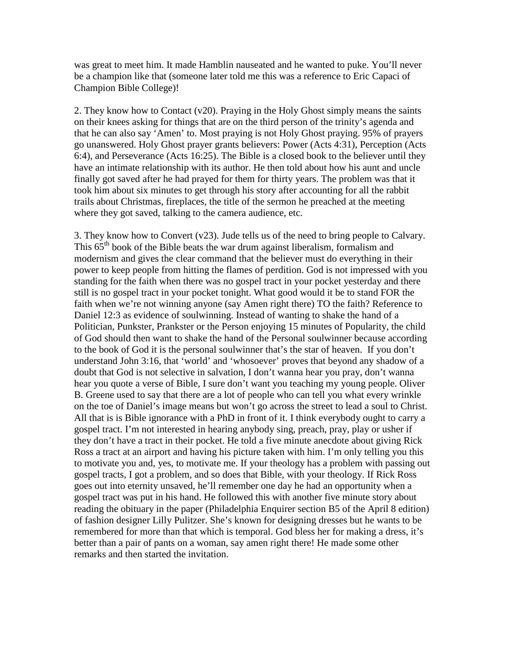was great to meet him. It made Hamblin nauseated and he wanted to puke. You'll never be a champion like that (someone later told me this was a reference to Eric Capaci of Champion Bible College)!

2. They know how to Contact (v20). Praying in the Holy Ghost simply means the saints on their knees asking for things that are on the third person of the trinity's agenda and that he can also say 'Amen' to. Most praying is not Holy Ghost praying. 95% of prayers go unanswered. Holy Ghost prayer grants believers: Power (Acts 4:31), Perception (Acts 6:4), and Perseverance (Acts 16:25). The Bible is a closed book to the believer until they have an intimate relationship with its author. He then told about how his aunt and uncle finally got saved after he had prayed for them for thirty years. The problem was that it took him about six minutes to get through his story after accounting for all the rabbit trails about Christmas, fireplaces, the title of the sermon he preached at the meeting where they got saved, talking to the camera audience, etc.

3. They know how to Convert (v23). Jude tells us of the need to bring people to Calvary. This  $65<sup>th</sup>$  book of the Bible beats the war drum against liberalism, formalism and modernism and gives the clear command that the believer must do everything in their power to keep people from hitting the flames of perdition. God is not impressed with you standing for the faith when there was no gospel tract in your pocket yesterday and there still is no gospel tract in your pocket tonight. What good would it be to stand FOR the faith when we're not winning anyone (say Amen right there) TO the faith? Reference to Daniel 12:3 as evidence of soulwinning. Instead of wanting to shake the hand of a Politician, Punkster, Prankster or the Person enjoying 15 minutes of Popularity, the child of God should then want to shake the hand of the Personal soulwinner because according to the book of God it is the personal soulwinner that's the star of heaven. If you don't understand John 3:16, that 'world' and 'whosoever' proves that beyond any shadow of a doubt that God is not selective in salvation, I don't wanna hear you pray, don't wanna hear you quote a verse of Bible, I sure don't want you teaching my young people. Oliver B. Greene used to say that there are a lot of people who can tell you what every wrinkle on the toe of Daniel's image means but won't go across the street to lead a soul to Christ. All that is is Bible ignorance with a PhD in front of it. I think everybody ought to carry a gospel tract. I'm not interested in hearing anybody sing, preach, pray, play or usher if they don't have a tract in their pocket. He told a five minute anecdote about giving Rick Ross a tract at an airport and having his picture taken with him. I'm only telling you this to motivate you and, yes, to motivate me. If your theology has a problem with passing out gospel tracts, I got a problem, and so does that Bible, with your theology. If Rick Ross goes out into eternity unsaved, he'll remember one day he had an opportunity when a gospel tract was put in his hand. He followed this with another five minute story about reading the obituary in the paper (Philadelphia Enquirer section B5 of the April 8 edition) of fashion designer Lilly Pulitzer. She's known for designing dresses but he wants to be remembered for more than that which is temporal. God bless her for making a dress, it's better than a pair of pants on a woman, say amen right there! He made some other remarks and then started the invitation.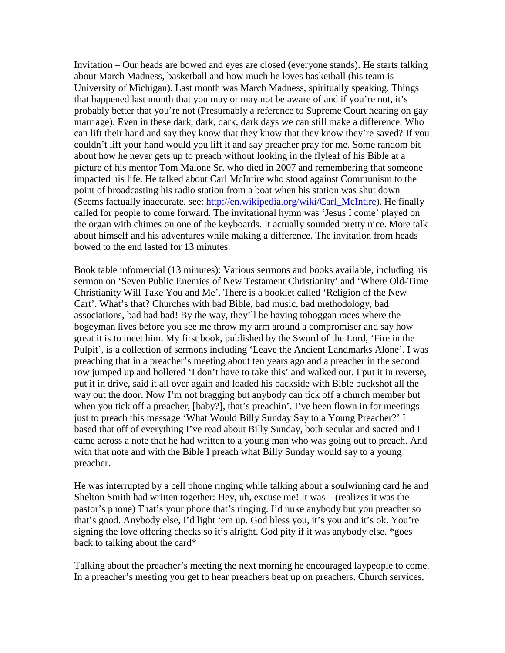Invitation – Our heads are bowed and eyes are closed (everyone stands). He starts talking about March Madness, basketball and how much he loves basketball (his team is University of Michigan). Last month was March Madness, spiritually speaking. Things that happened last month that you may or may not be aware of and if you're not, it's probably better that you're not (Presumably a reference to Supreme Court hearing on gay marriage). Even in these dark, dark, dark, dark days we can still make a difference. Who can lift their hand and say they know that they know that they know they're saved? If you couldn't lift your hand would you lift it and say preacher pray for me. Some random bit about how he never gets up to preach without looking in the flyleaf of his Bible at a picture of his mentor Tom Malone Sr. who died in 2007 and remembering that someone impacted his life. He talked about Carl McIntire who stood against Communism to the point of broadcasting his radio station from a boat when his station was shut down (Seems factually inaccurate. see: [http://en.wikipedia.org/wiki/Carl\\_McIntire\)](http://en.wikipedia.org/wiki/Carl_McIntire). He finally called for people to come forward. The invitational hymn was 'Jesus I come' played on the organ with chimes on one of the keyboards. It actually sounded pretty nice. More talk about himself and his adventures while making a difference. The invitation from heads bowed to the end lasted for 13 minutes.

Book table infomercial (13 minutes): Various sermons and books available, including his sermon on 'Seven Public Enemies of New Testament Christianity' and 'Where Old-Time Christianity Will Take You and Me'. There is a booklet called 'Religion of the New Cart'. What's that? Churches with bad Bible, bad music, bad methodology, bad associations, bad bad bad! By the way, they'll be having toboggan races where the bogeyman lives before you see me throw my arm around a compromiser and say how great it is to meet him. My first book, published by the Sword of the Lord, 'Fire in the Pulpit', is a collection of sermons including 'Leave the Ancient Landmarks Alone'. I was preaching that in a preacher's meeting about ten years ago and a preacher in the second row jumped up and hollered 'I don't have to take this' and walked out. I put it in reverse, put it in drive, said it all over again and loaded his backside with Bible buckshot all the way out the door. Now I'm not bragging but anybody can tick off a church member but when you tick off a preacher, [baby?], that's preachin'. I've been flown in for meetings just to preach this message 'What Would Billy Sunday Say to a Young Preacher?' I based that off of everything I've read about Billy Sunday, both secular and sacred and I came across a note that he had written to a young man who was going out to preach. And with that note and with the Bible I preach what Billy Sunday would say to a young preacher.

He was interrupted by a cell phone ringing while talking about a soulwinning card he and Shelton Smith had written together: Hey, uh, excuse me! It was – (realizes it was the pastor's phone) That's your phone that's ringing. I'd nuke anybody but you preacher so that's good. Anybody else, I'd light 'em up. God bless you, it's you and it's ok. You're signing the love offering checks so it's alright. God pity if it was anybody else. \*goes back to talking about the card\*

Talking about the preacher's meeting the next morning he encouraged laypeople to come. In a preacher's meeting you get to hear preachers beat up on preachers. Church services,